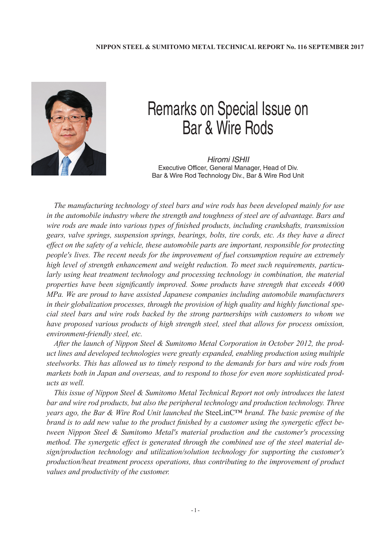

## Remarks on Special Issue on Bar & Wire Rods

*Hiromi ISHII* Executive Officer, General Manager, Head of Div. Bar & Wire Rod Technology Div., Bar & Wire Rod Unit

*The manufacturing technology of steel bars and wire rods has been developed mainly for use in the automobile industry where the strength and toughness of steel are of advantage. Bars and wire rods are made into various types of finished products, including crankshafts, transmission gears, valve springs, suspension springs, bearings, bolts, tire cords, etc. As they have a direct effect on the safety of a vehicle, these automobile parts are important, responsible for protecting people's lives. The recent needs for the improvement of fuel consumption require an extremely high level of strength enhancement and weight reduction. To meet such requirements, particularly using heat treatment technology and processing technology in combination, the material properties have been significantly improved. Some products have strength that exceeds 4000 MPa. We are proud to have assisted Japanese companies including automobile manufacturers in their globalization processes, through the provision of high quality and highly functional special steel bars and wire rods backed by the strong partnerships with customers to whom we have proposed various products of high strength steel, steel that allows for process omission, environment-friendly steel, etc.*

*After the launch of Nippon Steel & Sumitomo Metal Corporation in October 2012, the product lines and developed technologies were greatly expanded, enabling production using multiple steelworks. This has allowed us to timely respond to the demands for bars and wire rods from markets both in Japan and overseas, and to respond to those for even more sophisticated products as well.*

*This issue of Nippon Steel & Sumitomo Metal Technical Report not only introduces the latest bar and wire rod products, but also the peripheral technology and production technology. Three years ago, the Bar & Wire Rod Unit launched the* SteeLinC™ *brand. The basic premise of the brand is to add new value to the product finished by a customer using the synergetic effect between Nippon Steel & Sumitomo Metal's material production and the customer's processing method. The synergetic effect is generated through the combined use of the steel material design/production technology and utilization/solution technology for supporting the customer's production/heat treatment process operations, thus contributing to the improvement of product values and productivity of the customer.*